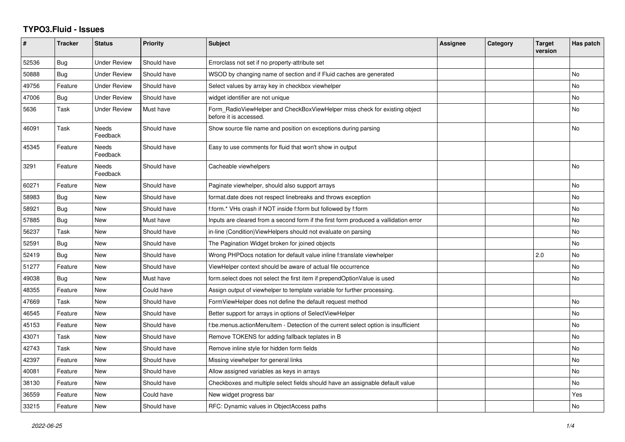## **TYPO3.Fluid - Issues**

| #     | <b>Tracker</b> | <b>Status</b>            | <b>Priority</b> | <b>Subject</b>                                                                                       | Assignee | Category | <b>Target</b><br>version | Has patch |
|-------|----------------|--------------------------|-----------------|------------------------------------------------------------------------------------------------------|----------|----------|--------------------------|-----------|
| 52536 | Bug            | <b>Under Review</b>      | Should have     | Errorclass not set if no property-attribute set                                                      |          |          |                          |           |
| 50888 | Bug            | Under Review             | Should have     | WSOD by changing name of section and if Fluid caches are generated                                   |          |          |                          | <b>No</b> |
| 49756 | Feature        | <b>Under Review</b>      | Should have     | Select values by array key in checkbox viewhelper                                                    |          |          |                          | No        |
| 47006 | Bug            | <b>Under Review</b>      | Should have     | widget identifier are not unique                                                                     |          |          |                          | <b>No</b> |
| 5636  | Task           | <b>Under Review</b>      | Must have       | Form RadioViewHelper and CheckBoxViewHelper miss check for existing object<br>before it is accessed. |          |          |                          | No        |
| 46091 | Task           | Needs<br>Feedback        | Should have     | Show source file name and position on exceptions during parsing                                      |          |          |                          | <b>No</b> |
| 45345 | Feature        | Needs<br>Feedback        | Should have     | Easy to use comments for fluid that won't show in output                                             |          |          |                          |           |
| 3291  | Feature        | <b>Needs</b><br>Feedback | Should have     | Cacheable viewhelpers                                                                                |          |          |                          | <b>No</b> |
| 60271 | Feature        | New                      | Should have     | Paginate viewhelper, should also support arrays                                                      |          |          |                          | <b>No</b> |
| 58983 | Bug            | New                      | Should have     | format.date does not respect linebreaks and throws exception                                         |          |          |                          | No        |
| 58921 | Bug            | New                      | Should have     | f:form.* VHs crash if NOT inside f:form but followed by f:form                                       |          |          |                          | No        |
| 57885 | Bug            | New                      | Must have       | Inputs are cleared from a second form if the first form produced a vallidation error                 |          |          |                          | No        |
| 56237 | Task           | New                      | Should have     | in-line (Condition) View Helpers should not evaluate on parsing                                      |          |          |                          | <b>No</b> |
| 52591 | <b>Bug</b>     | New                      | Should have     | The Pagination Widget broken for joined objects                                                      |          |          |                          | No        |
| 52419 | Bug            | <b>New</b>               | Should have     | Wrong PHPDocs notation for default value inline f:translate viewhelper                               |          |          | 2.0                      | No        |
| 51277 | Feature        | New                      | Should have     | ViewHelper context should be aware of actual file occurrence                                         |          |          |                          | <b>No</b> |
| 49038 | Bug            | New                      | Must have       | form.select does not select the first item if prependOptionValue is used                             |          |          |                          | No        |
| 48355 | Feature        | New                      | Could have      | Assign output of viewhelper to template variable for further processing.                             |          |          |                          |           |
| 47669 | Task           | New                      | Should have     | FormViewHelper does not define the default request method                                            |          |          |                          | <b>No</b> |
| 46545 | Feature        | New                      | Should have     | Better support for arrays in options of SelectViewHelper                                             |          |          |                          | No        |
| 45153 | Feature        | New                      | Should have     | f:be.menus.actionMenuItem - Detection of the current select option is insufficient                   |          |          |                          | No        |
| 43071 | Task           | New                      | Should have     | Remove TOKENS for adding fallback teplates in B                                                      |          |          |                          | No        |
| 42743 | Task           | New                      | Should have     | Remove inline style for hidden form fields                                                           |          |          |                          | No        |
| 42397 | Feature        | <b>New</b>               | Should have     | Missing viewhelper for general links                                                                 |          |          |                          | No        |
| 40081 | Feature        | New                      | Should have     | Allow assigned variables as keys in arrays                                                           |          |          |                          | No        |
| 38130 | Feature        | New                      | Should have     | Checkboxes and multiple select fields should have an assignable default value                        |          |          |                          | No        |
| 36559 | Feature        | New                      | Could have      | New widget progress bar                                                                              |          |          |                          | Yes       |
| 33215 | Feature        | New                      | Should have     | RFC: Dynamic values in ObjectAccess paths                                                            |          |          |                          | <b>No</b> |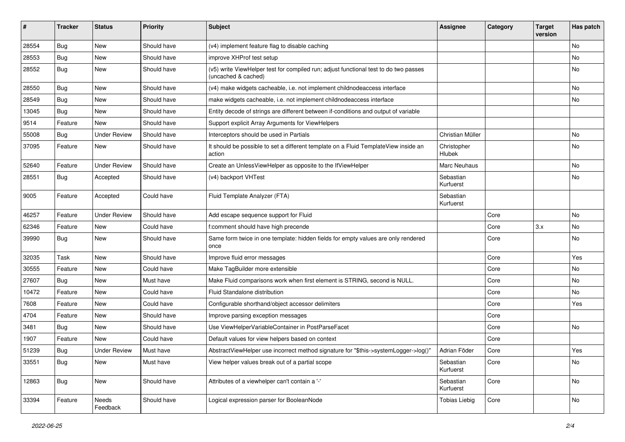| #     | <b>Tracker</b> | <b>Status</b>       | <b>Priority</b> | Subject                                                                                                     | <b>Assignee</b>        | Category | <b>Target</b><br>version | Has patch |
|-------|----------------|---------------------|-----------------|-------------------------------------------------------------------------------------------------------------|------------------------|----------|--------------------------|-----------|
| 28554 | Bug            | New                 | Should have     | (v4) implement feature flag to disable caching                                                              |                        |          |                          | No        |
| 28553 | Bug            | New                 | Should have     | improve XHProf test setup                                                                                   |                        |          |                          | No        |
| 28552 | <b>Bug</b>     | New                 | Should have     | (v5) write ViewHelper test for compiled run; adjust functional test to do two passes<br>(uncached & cached) |                        |          |                          | No        |
| 28550 | Bug            | New                 | Should have     | (v4) make widgets cacheable, i.e. not implement childnodeaccess interface                                   |                        |          |                          | No        |
| 28549 | Bug            | New                 | Should have     | make widgets cacheable, i.e. not implement childnodeaccess interface                                        |                        |          |                          | No        |
| 13045 | Bug            | New                 | Should have     | Entity decode of strings are different between if-conditions and output of variable                         |                        |          |                          |           |
| 9514  | Feature        | New                 | Should have     | Support explicit Array Arguments for ViewHelpers                                                            |                        |          |                          |           |
| 55008 | Bug            | <b>Under Review</b> | Should have     | Interceptors should be used in Partials                                                                     | Christian Müller       |          |                          | No        |
| 37095 | Feature        | New                 | Should have     | It should be possible to set a different template on a Fluid TemplateView inside an<br>action               | Christopher<br>Hlubek  |          |                          | No        |
| 52640 | Feature        | <b>Under Review</b> | Should have     | Create an UnlessViewHelper as opposite to the IfViewHelper                                                  | Marc Neuhaus           |          |                          | No.       |
| 28551 | Bug            | Accepted            | Should have     | (v4) backport VHTest                                                                                        | Sebastian<br>Kurfuerst |          |                          | No        |
| 9005  | Feature        | Accepted            | Could have      | Fluid Template Analyzer (FTA)                                                                               | Sebastian<br>Kurfuerst |          |                          |           |
| 46257 | Feature        | <b>Under Review</b> | Should have     | Add escape sequence support for Fluid                                                                       |                        | Core     |                          | No        |
| 62346 | Feature        | New                 | Could have      | f:comment should have high precende                                                                         |                        | Core     | 3.x                      | No        |
| 39990 | <b>Bug</b>     | New                 | Should have     | Same form twice in one template: hidden fields for empty values are only rendered<br>once                   |                        | Core     |                          | No        |
| 32035 | Task           | New                 | Should have     | Improve fluid error messages                                                                                |                        | Core     |                          | Yes       |
| 30555 | Feature        | New                 | Could have      | Make TagBuilder more extensible                                                                             |                        | Core     |                          | No        |
| 27607 | Bug            | New                 | Must have       | Make Fluid comparisons work when first element is STRING, second is NULL.                                   |                        | Core     |                          | No        |
| 10472 | Feature        | New                 | Could have      | Fluid Standalone distribution                                                                               |                        | Core     |                          | No.       |
| 7608  | Feature        | New                 | Could have      | Configurable shorthand/object accessor delimiters                                                           |                        | Core     |                          | Yes       |
| 4704  | Feature        | New                 | Should have     | Improve parsing exception messages                                                                          |                        | Core     |                          |           |
| 3481  | <b>Bug</b>     | New                 | Should have     | Use ViewHelperVariableContainer in PostParseFacet                                                           |                        | Core     |                          | No        |
| 1907  | Feature        | New                 | Could have      | Default values for view helpers based on context                                                            |                        | Core     |                          |           |
| 51239 | <b>Bug</b>     | <b>Under Review</b> | Must have       | AbstractViewHelper use incorrect method signature for "\$this->systemLogger->log()"                         | Adrian Föder           | Core     |                          | Yes       |
| 33551 | <b>Bug</b>     | New                 | Must have       | View helper values break out of a partial scope                                                             | Sebastian<br>Kurfuerst | Core     |                          | No        |
| 12863 | <b>Bug</b>     | New                 | Should have     | Attributes of a viewhelper can't contain a '-'                                                              | Sebastian<br>Kurfuerst | Core     |                          | No        |
| 33394 | Feature        | Needs<br>Feedback   | Should have     | Logical expression parser for BooleanNode                                                                   | <b>Tobias Liebig</b>   | Core     |                          | No        |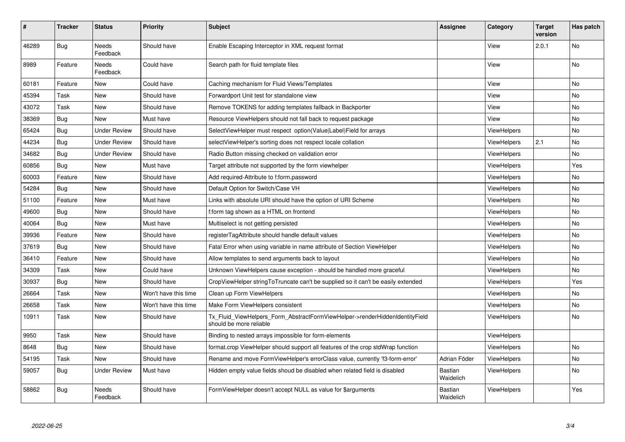| #     | <b>Tracker</b> | <b>Status</b>            | <b>Priority</b>      | <b>Subject</b>                                                                                         | Assignee                    | Category           | <b>Target</b><br>version | Has patch |
|-------|----------------|--------------------------|----------------------|--------------------------------------------------------------------------------------------------------|-----------------------------|--------------------|--------------------------|-----------|
| 46289 | <b>Bug</b>     | Needs<br>Feedback        | Should have          | Enable Escaping Interceptor in XML request format                                                      |                             | View               | 2.0.1                    | No        |
| 8989  | Feature        | <b>Needs</b><br>Feedback | Could have           | Search path for fluid template files                                                                   |                             | View               |                          | <b>No</b> |
| 60181 | Feature        | <b>New</b>               | Could have           | Caching mechanism for Fluid Views/Templates                                                            |                             | View               |                          | <b>No</b> |
| 45394 | Task           | New                      | Should have          | Forwardport Unit test for standalone view                                                              |                             | View               |                          | <b>No</b> |
| 43072 | Task           | New                      | Should have          | Remove TOKENS for adding templates fallback in Backporter                                              |                             | View               |                          | No        |
| 38369 | Bug            | New                      | Must have            | Resource ViewHelpers should not fall back to request package                                           |                             | View               |                          | <b>No</b> |
| 65424 | Bug            | Under Review             | Should have          | SelectViewHelper must respect option(Value Label)Field for arrays                                      |                             | <b>ViewHelpers</b> |                          | No        |
| 44234 | Bug            | Under Review             | Should have          | selectViewHelper's sorting does not respect locale collation                                           |                             | <b>ViewHelpers</b> | 2.1                      | No        |
| 34682 | Bug            | <b>Under Review</b>      | Should have          | Radio Button missing checked on validation error                                                       |                             | <b>ViewHelpers</b> |                          | No        |
| 60856 | Bug            | <b>New</b>               | Must have            | Target attribute not supported by the form viewhelper                                                  |                             | ViewHelpers        |                          | Yes       |
| 60003 | Feature        | New                      | Should have          | Add required-Attribute to f:form.password                                                              |                             | ViewHelpers        |                          | <b>No</b> |
| 54284 | <b>Bug</b>     | New                      | Should have          | Default Option for Switch/Case VH                                                                      |                             | <b>ViewHelpers</b> |                          | <b>No</b> |
| 51100 | Feature        | New                      | Must have            | Links with absolute URI should have the option of URI Scheme                                           |                             | ViewHelpers        |                          | <b>No</b> |
| 49600 | Bug            | New                      | Should have          | f:form tag shown as a HTML on frontend                                                                 |                             | ViewHelpers        |                          | No        |
| 40064 | Bug            | New                      | Must have            | Multiselect is not getting persisted                                                                   |                             | <b>ViewHelpers</b> |                          | No        |
| 39936 | Feature        | New                      | Should have          | registerTagAttribute should handle default values                                                      |                             | ViewHelpers        |                          | <b>No</b> |
| 37619 | Bug            | New                      | Should have          | Fatal Error when using variable in name attribute of Section ViewHelper                                |                             | ViewHelpers        |                          | No        |
| 36410 | Feature        | New                      | Should have          | Allow templates to send arguments back to layout                                                       |                             | ViewHelpers        |                          | No        |
| 34309 | Task           | New                      | Could have           | Unknown ViewHelpers cause exception - should be handled more graceful                                  |                             | <b>ViewHelpers</b> |                          | No        |
| 30937 | Bug            | New                      | Should have          | CropViewHelper stringToTruncate can't be supplied so it can't be easily extended                       |                             | ViewHelpers        |                          | Yes       |
| 26664 | Task           | New                      | Won't have this time | Clean up Form ViewHelpers                                                                              |                             | ViewHelpers        |                          | No        |
| 26658 | Task           | New                      | Won't have this time | Make Form ViewHelpers consistent                                                                       |                             | ViewHelpers        |                          | No        |
| 10911 | Task           | New                      | Should have          | Tx_Fluid_ViewHelpers_Form_AbstractFormViewHelper->renderHiddenIdentityField<br>should be more reliable |                             | <b>ViewHelpers</b> |                          | <b>No</b> |
| 9950  | Task           | New                      | Should have          | Binding to nested arrays impossible for form-elements                                                  |                             | ViewHelpers        |                          |           |
| 8648  | Bug            | New                      | Should have          | format.crop ViewHelper should support all features of the crop stdWrap function                        |                             | ViewHelpers        |                          | No        |
| 54195 | Task           | New                      | Should have          | Rename and move FormViewHelper's errorClass value, currently 'f3-form-error'                           | Adrian Föder                | ViewHelpers        |                          | No        |
| 59057 | Bug            | <b>Under Review</b>      | Must have            | Hidden empty value fields shoud be disabled when related field is disabled                             | <b>Bastian</b><br>Waidelich | <b>ViewHelpers</b> |                          | No        |
| 58862 | Bug            | Needs<br>Feedback        | Should have          | FormViewHelper doesn't accept NULL as value for \$arguments                                            | <b>Bastian</b><br>Waidelich | <b>ViewHelpers</b> |                          | Yes       |